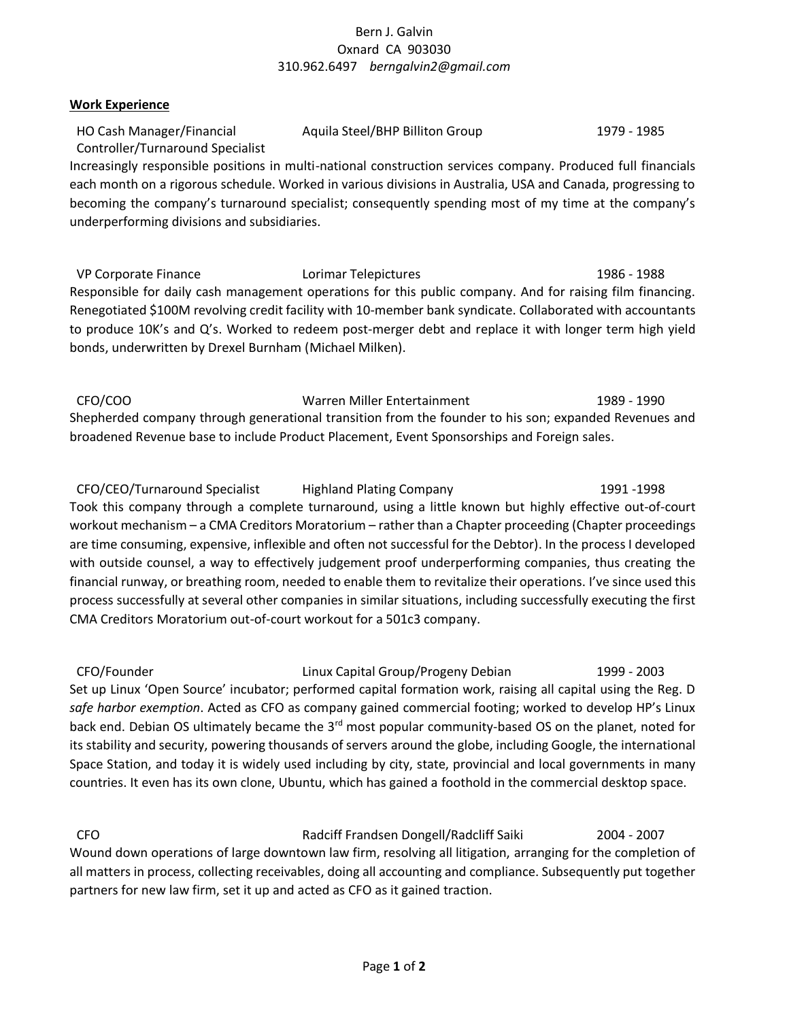# Bern J. Galvin Oxnard CA 903030 310.962.6497 *berngalvin2@gmail.com*

### **Work Experience**

| HO Cash Manager/Financial        | Aquila Steel/BHP Billiton Group | 1979 - 1985 |
|----------------------------------|---------------------------------|-------------|
| Controller/Turnaround Specialist |                                 |             |

Increasingly responsible positions in multi-national construction services company. Produced full financials each month on a rigorous schedule. Worked in various divisions in Australia, USA and Canada, progressing to becoming the company's turnaround specialist; consequently spending most of my time at the company's underperforming divisions and subsidiaries.

VP Corporate Finance **1986** - 1988 - Lorimar Telepictures 1986 - 1988 - 1988 - 1988 Responsible for daily cash management operations for this public company. And for raising film financing. Renegotiated \$100M revolving credit facility with 10-member bank syndicate. Collaborated with accountants to produce 10K's and Q's. Worked to redeem post-merger debt and replace it with longer term high yield bonds, underwritten by Drexel Burnham (Michael Milken).

CFO/COO Warren Miller Entertainment 1989 - 1990 Shepherded company through generational transition from the founder to his son; expanded Revenues and broadened Revenue base to include Product Placement, Event Sponsorships and Foreign sales.

CFO/CEO/Turnaround Specialist Highland Plating Company 1991 -1998 Took this company through a complete turnaround, using a little known but highly effective out-of-court workout mechanism – a CMA Creditors Moratorium – rather than a Chapter proceeding (Chapter proceedings are time consuming, expensive, inflexible and often not successful for the Debtor). In the process I developed with outside counsel, a way to effectively judgement proof underperforming companies, thus creating the financial runway, or breathing room, needed to enable them to revitalize their operations. I've since used this process successfully at several other companies in similar situations, including successfully executing the first CMA Creditors Moratorium out-of-court workout for a 501c3 company.

CFO/Founder Linux Capital Group/Progeny Debian 1999 - 2003 Set up Linux 'Open Source' incubator; performed capital formation work, raising all capital using the Reg. D *safe harbor exemption*. Acted as CFO as company gained commercial footing; worked to develop HP's Linux back end. Debian OS ultimately became the 3rd most popular community-based OS on the planet, noted for its stability and security, powering thousands of servers around the globe, including Google, the international Space Station, and today it is widely used including by city, state, provincial and local governments in many countries. It even has its own clone, Ubuntu, which has gained a foothold in the commercial desktop space.

CFO Radciff Frandsen Dongell/Radcliff Saiki 2004 - 2007 Wound down operations of large downtown law firm, resolving all litigation, arranging for the completion of all matters in process, collecting receivables, doing all accounting and compliance. Subsequently put together partners for new law firm, set it up and acted as CFO as it gained traction.